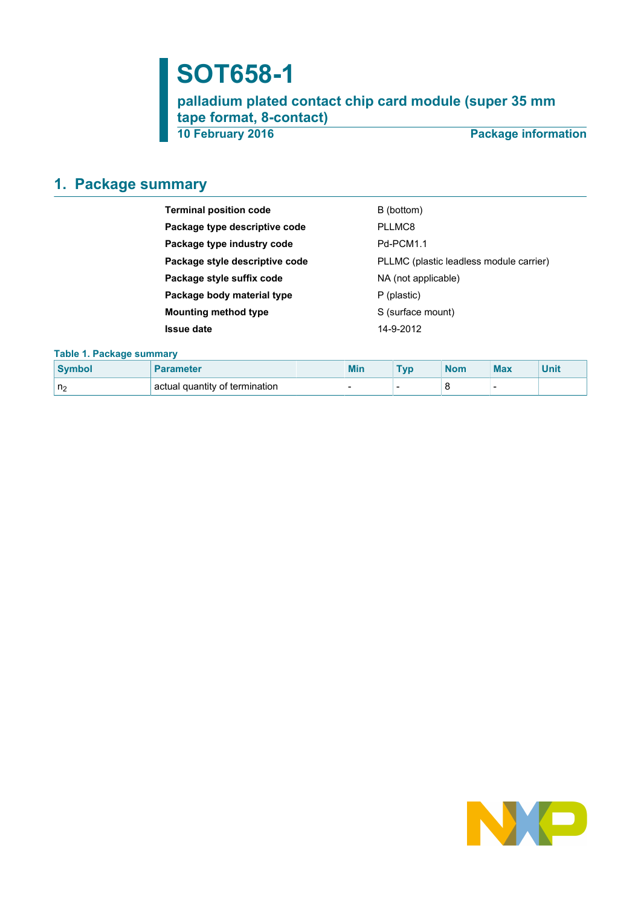# **SOT658-1**

**palladium plated contact chip card module (super 35 mm tape format, 8-contact)**

**10 February 2016 Package information**

# <span id="page-0-0"></span>**1. Package summary**

| <b>Terminal position code</b>  | B (bottom)                              |  |
|--------------------------------|-----------------------------------------|--|
| Package type descriptive code  | PLLMC8                                  |  |
| Package type industry code     | Pd-PCM1.1                               |  |
| Package style descriptive code | PLLMC (plastic leadless module carrier) |  |
| Package style suffix code      | NA (not applicable)                     |  |
| Package body material type     | P (plastic)                             |  |
| <b>Mounting method type</b>    | S (surface mount)                       |  |
| <b>Issue date</b>              | 14-9-2012                               |  |

### **Table 1. Package summary**

| Symbo <sub>1</sub> | <b>Parameter</b>               | <b>Min</b> | <b>TVO</b> | <b>Nom</b> | <b>Max</b> | Unit |
|--------------------|--------------------------------|------------|------------|------------|------------|------|
| n <sub>2</sub>     | actual quantity of termination | -          |            |            |            |      |

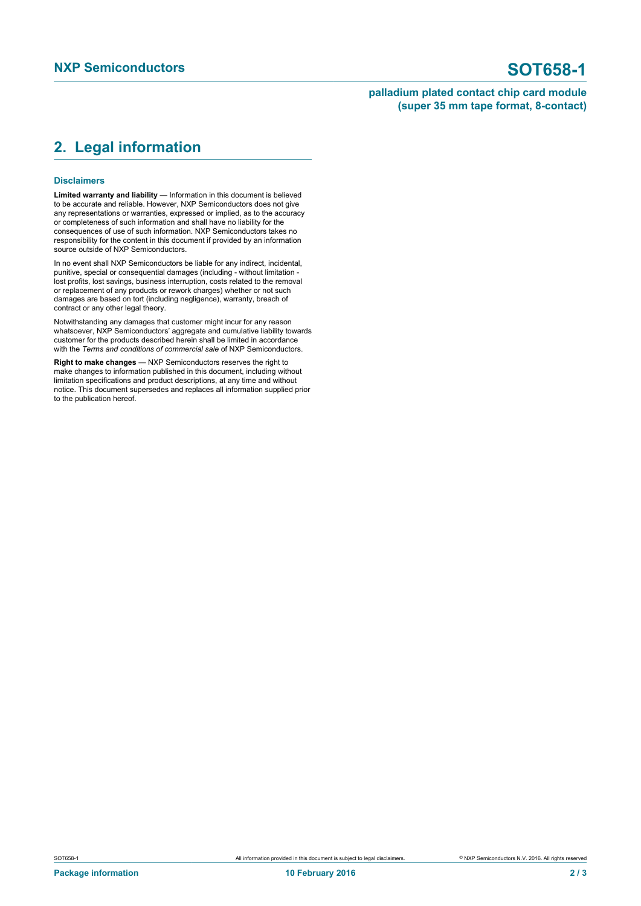### **palladium plated contact chip card module (super 35 mm tape format, 8-contact)**

# <span id="page-1-0"></span>**2. Legal information**

#### **Disclaimers**

**Limited warranty and liability** — Information in this document is believed to be accurate and reliable. However, NXP Semiconductors does not give any representations or warranties, expressed or implied, as to the accuracy or completeness of such information and shall have no liability for the consequences of use of such information. NXP Semiconductors takes no responsibility for the content in this document if provided by an information source outside of NXP Semiconductors.

In no event shall NXP Semiconductors be liable for any indirect, incidental, punitive, special or consequential damages (including - without limitation lost profits, lost savings, business interruption, costs related to the removal or replacement of any products or rework charges) whether or not such damages are based on tort (including negligence), warranty, breach of contract or any other legal theory.

Notwithstanding any damages that customer might incur for any reason whatsoever, NXP Semiconductors' aggregate and cumulative liability towards customer for the products described herein shall be limited in accordance with the *Terms and conditions of commercial sale* of NXP Semiconductors.

**Right to make changes** — NXP Semiconductors reserves the right to make changes to information published in this document, including without limitation specifications and product descriptions, at any time and without notice. This document supersedes and replaces all information supplied prior to the publication hereof.